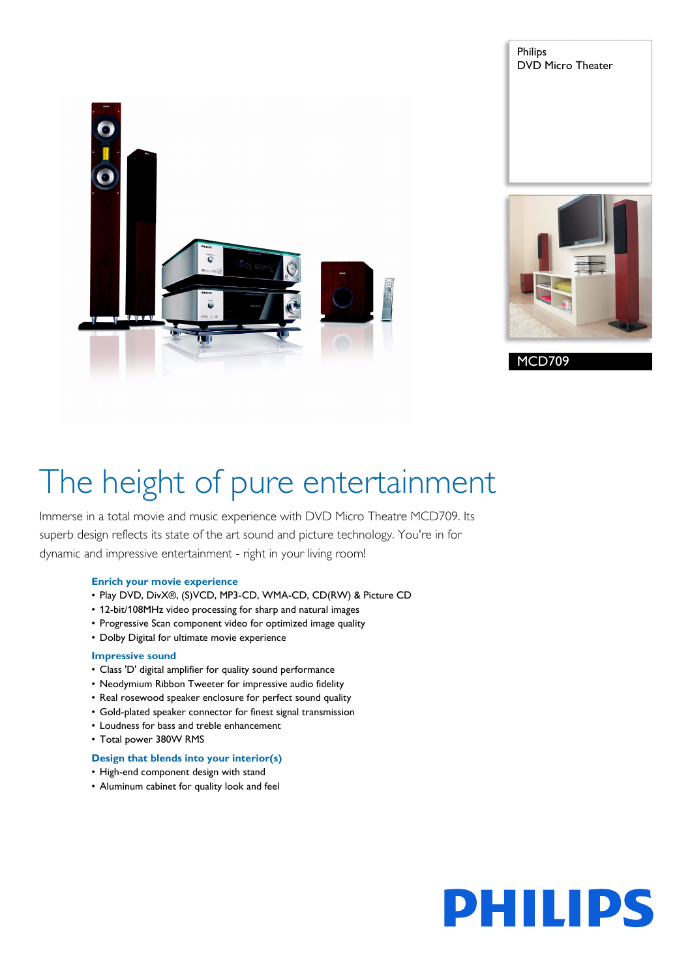



Philips

DVD Micro Theater

## The height of pure entertainment

Immerse in a total movie and music experience with DVD Micro Theatre MCD709. Its superb design reflects its state of the art sound and picture technology. You're in for dynamic and impressive entertainment - right in your living room!

#### **Enrich your movie experience**

- Play DVD, DivX®, (S)VCD, MP3-CD, WMA-CD, CD(RW) & Picture CD
- 12-bit/108MHz video processing for sharp and natural images
- Progressive Scan component video for optimized image quality
- Dolby Digital for ultimate movie experience

#### **Impressive sound**

- Class 'D' digital amplifier for quality sound performance
- Neodymium Ribbon Tweeter for impressive audio fidelity
- Real rosewood speaker enclosure for perfect sound quality
- Gold-plated speaker connector for finest signal transmission
- Loudness for bass and treble enhancement
- Total power 380W RMS

#### **Design that blends into your interior(s)**

- High-end component design with stand
- Aluminum cabinet for quality look and feel

# PHILIPS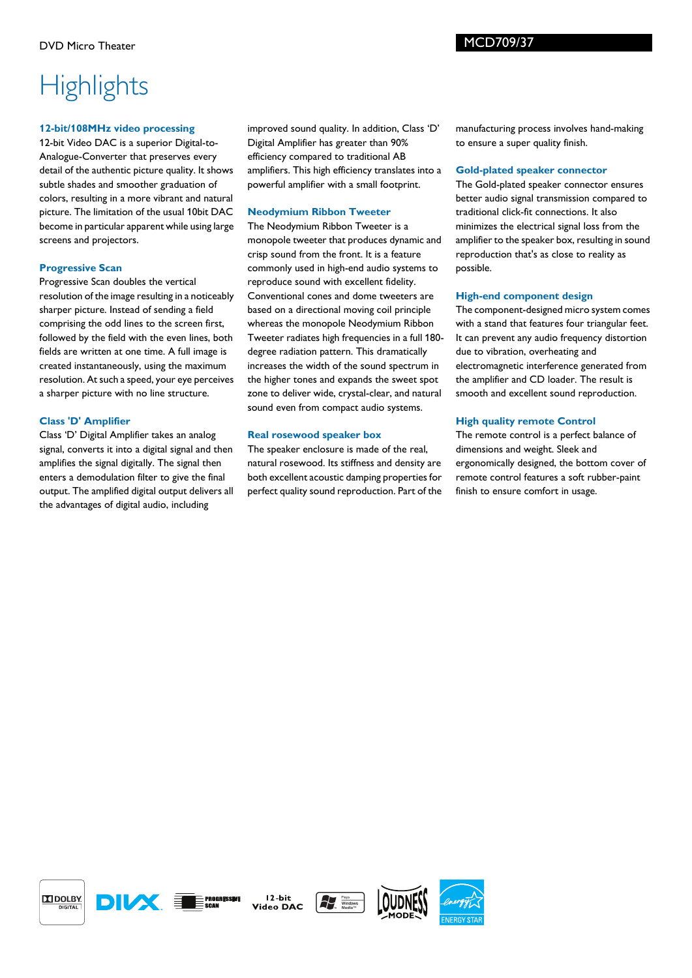### **Highlights**

#### **12-bit/108MHz video processing**

12-bit Video DAC is a superior Digital-to-Analogue-Converter that preserves every detail of the authentic picture quality. It shows subtle shades and smoother graduation of colors, resulting in a more vibrant and natural picture. The limitation of the usual 10bit DAC become in particular apparent while using large screens and projectors.

#### **Progressive Scan**

Progressive Scan doubles the vertical resolution of the image resulting in a noticeably sharper picture. Instead of sending a field comprising the odd lines to the screen first, followed by the field with the even lines, both fields are written at one time. A full image is created instantaneously, using the maximum resolution. At such a speed, your eye perceives a sharper picture with no line structure.

#### **Class 'D' Amplifier**

Class 'D' Digital Amplifier takes an analog signal, converts it into a digital signal and then amplifies the signal digitally. The signal then enters a demodulation filter to give the final output. The amplified digital output delivers all the advantages of digital audio, including

improved sound quality. In addition, Class 'D' Digital Amplifier has greater than 90% efficiency compared to traditional AB amplifiers. This high efficiency translates into a powerful amplifier with a small footprint.

#### **Neodymium Ribbon Tweeter**

The Neodymium Ribbon Tweeter is a monopole tweeter that produces dynamic and crisp sound from the front. It is a feature commonly used in high-end audio systems to reproduce sound with excellent fidelity. Conventional cones and dome tweeters are based on a directional moving coil principle whereas the monopole Neodymium Ribbon Tweeter radiates high frequencies in a full 180 degree radiation pattern. This dramatically increases the width of the sound spectrum in the higher tones and expands the sweet spot zone to deliver wide, crystal-clear, and natural sound even from compact audio systems.

#### **Real rosewood speaker box**

The speaker enclosure is made of the real, natural rosewood. Its stiffness and density are both excellent acoustic damping properties for perfect quality sound reproduction. Part of the manufacturing process involves hand-making to ensure a super quality finish.

#### **Gold-plated speaker connector**

The Gold-plated speaker connector ensures better audio signal transmission compared to traditional click-fit connections. It also minimizes the electrical signal loss from the amplifier to the speaker box, resulting in sound reproduction that's as close to reality as possible.

#### **High-end component design**

The component-designed micro system comes with a stand that features four triangular feet. It can prevent any audio frequency distortion due to vibration, overheating and electromagnetic interference generated from the amplifier and CD loader. The result is smooth and excellent sound reproduction.

#### **High quality remote Control**

The remote control is a perfect balance of dimensions and weight. Sleek and ergonomically designed, the bottom cover of remote control features a soft rubber-paint finish to ensure comfort in usage.





 $12 - *bit*$ Video DAC